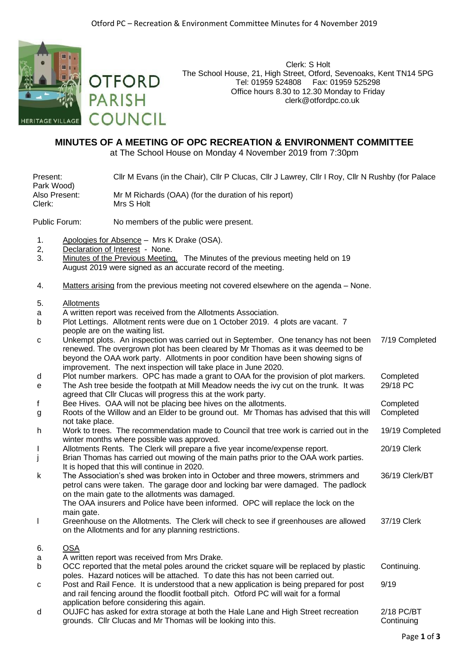

Clerk: S Holt The School House, 21, High Street, Otford, Sevenoaks, Kent TN14 5PG Tel: 01959 524808 Fax: 01959 525298 Office hours 8.30 to 12.30 Monday to Friday clerk@otfordpc.co.uk

## **MINUTES OF A MEETING OF OPC RECREATION & ENVIRONMENT COMMITTEE**

at The School House on Monday 4 November 2019 from 7:30pm

Present: Cllr M Evans (in the Chair), Cllr P Clucas, Cllr J Lawrey, Cllr I Roy, Cllr N Rushby (for Palace Park Wood)<br>Also Present: Also Present: Mr M Richards (OAA) (for the duration of his report) Mrs S Holt

Public Forum: No members of the public were present.

1. Apologies for Absence – Mrs K Drake (OSA).

**OTFORD** 

**COUNCIL** 

**PARISH** 

- 2, Declaration of Interest None.
- 3. Minutes of the Previous Meeting. The Minutes of the previous meeting held on 19 August 2019 were signed as an accurate record of the meeting.
- 4. Matters arising from the previous meeting not covered elsewhere on the agenda None.
- 5. Allotments
- a A written report was received from the Allotments Association.
- b Plot Lettings. Allotment rents were due on 1 October 2019. 4 plots are vacant. 7 people are on the waiting list.
- c Unkempt plots. An inspection was carried out in September. One tenancy has not been renewed. The overgrown plot has been cleared by Mr Thomas as it was deemed to be beyond the OAA work party. Allotments in poor condition have been showing signs of improvement. The next inspection will take place in June 2020. 7/19 Completed
- d Plot number markers. OPC has made a grant to OAA for the provision of plot markers. Completed
- e The Ash tree beside the footpath at Mill Meadow needs the ivy cut on the trunk. It was agreed that Cllr Clucas will progress this at the work party. 29/18 PC
- f Bee Hives. OAA will not be placing bee hives on the allotments. Completed
- g Roots of the Willow and an Elder to be ground out. Mr Thomas has advised that this will not take place. Completed
- h Work to trees. The recommendation made to Council that tree work is carried out in the winter months where possible was approved. 19/19 Completed
- I Allotments Rents. The Clerk will prepare a five year income/expense report. 20/19 Clerk
- j Brian Thomas has carried out mowing of the main paths prior to the OAA work parties. It is hoped that this will continue in 2020.
- k The Association's shed was broken into in October and three mowers, strimmers and petrol cans were taken. The garage door and locking bar were damaged. The padlock on the main gate to the allotments was damaged. The OAA insurers and Police have been informed. OPC will replace the lock on the main gate. 36/19 Clerk/BT
- l Greenhouse on the Allotments. The Clerk will check to see if greenhouses are allowed on the Allotments and for any planning restrictions. 37/19 Clerk
- 6. OSA
- a A written report was received from Mrs Drake.
- b OCC reported that the metal poles around the cricket square will be replaced by plastic poles. Hazard notices will be attached. To date this has not been carried out. Continuing. c Post and Rail Fence. It is understood that a new application is being prepared for post 9/19
- and rail fencing around the floodlit football pitch. Otford PC will wait for a formal application before considering this again.
- d OUJFC has asked for extra storage at both the Hale Lane and High Street recreation grounds. Cllr Clucas and Mr Thomas will be looking into this.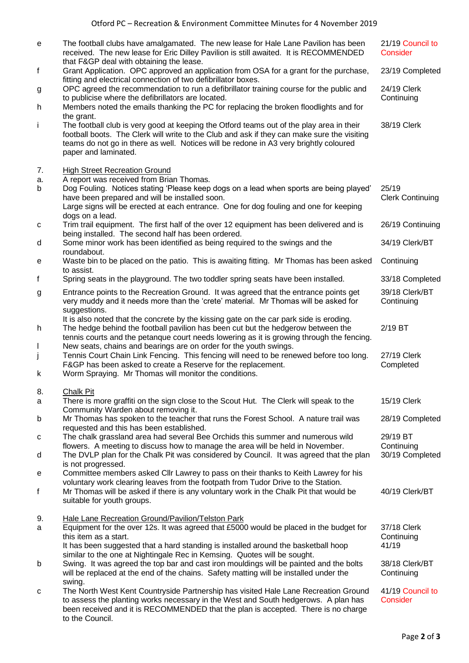| е      | The football clubs have amalgamated. The new lease for Hale Lane Pavilion has been<br>received. The new lease for Eric Dilley Pavilion is still awaited. It is RECOMMENDED<br>that F&GP deal with obtaining the lease.                                                                                   | 21/19 Council to<br>Consider     |
|--------|----------------------------------------------------------------------------------------------------------------------------------------------------------------------------------------------------------------------------------------------------------------------------------------------------------|----------------------------------|
| f      | Grant Application. OPC approved an application from OSA for a grant for the purchase,<br>fitting and electrical connection of two defibrillator boxes.                                                                                                                                                   | 23/19 Completed                  |
| g      | OPC agreed the recommendation to run a defibrillator training course for the public and<br>to publicise where the defibrillators are located.                                                                                                                                                            | 24/19 Clerk<br>Continuing        |
| h      | Members noted the emails thanking the PC for replacing the broken floodlights and for<br>the grant.                                                                                                                                                                                                      |                                  |
| i.     | The football club is very good at keeping the Otford teams out of the play area in their<br>football boots. The Clerk will write to the Club and ask if they can make sure the visiting<br>teams do not go in there as well. Notices will be redone in A3 very brightly coloured<br>paper and laminated. | 38/19 Clerk                      |
| 7.     | <b>High Street Recreation Ground</b>                                                                                                                                                                                                                                                                     |                                  |
| a.     | A report was received from Brian Thomas.                                                                                                                                                                                                                                                                 |                                  |
| b      | Dog Fouling. Notices stating 'Please keep dogs on a lead when sports are being played'<br>have been prepared and will be installed soon.                                                                                                                                                                 | 25/19<br><b>Clerk Continuing</b> |
|        | Large signs will be erected at each entrance. One for dog fouling and one for keeping<br>dogs on a lead.                                                                                                                                                                                                 |                                  |
| с      | Trim trail equipment. The first half of the over 12 equipment has been delivered and is<br>being installed. The second half has been ordered.                                                                                                                                                            | 26/19 Continuing                 |
| d      | Some minor work has been identified as being required to the swings and the<br>roundabout.                                                                                                                                                                                                               | 34/19 Clerk/BT                   |
| е      | Waste bin to be placed on the patio. This is awaiting fitting. Mr Thomas has been asked<br>to assist.                                                                                                                                                                                                    | Continuing                       |
| f      | Spring seats in the playground. The two toddler spring seats have been installed.                                                                                                                                                                                                                        | 33/18 Completed                  |
| g      | Entrance points to the Recreation Ground. It was agreed that the entrance points get<br>very muddy and it needs more than the 'crete' material. Mr Thomas will be asked for<br>suggestions.                                                                                                              | 39/18 Clerk/BT<br>Continuing     |
| h      | It is also noted that the concrete by the kissing gate on the car park side is eroding.<br>The hedge behind the football pavilion has been cut but the hedgerow between the<br>tennis courts and the petanque court needs lowering as it is growing through the fencing.                                 | 2/19 BT                          |
| L<br>j | New seats, chains and bearings are on order for the youth swings.<br>Tennis Court Chain Link Fencing. This fencing will need to be renewed before too long.<br>F&GP has been asked to create a Reserve for the replacement.                                                                              | 27/19 Clerk<br>Completed         |
| k      | Worm Spraying. Mr Thomas will monitor the conditions.                                                                                                                                                                                                                                                    |                                  |
| 8.     | <b>Chalk Pit</b>                                                                                                                                                                                                                                                                                         |                                  |
| a      | There is more graffiti on the sign close to the Scout Hut. The Clerk will speak to the<br>Community Warden about removing it.                                                                                                                                                                            | 15/19 Clerk                      |
| b      | Mr Thomas has spoken to the teacher that runs the Forest School. A nature trail was<br>requested and this has been established.                                                                                                                                                                          | 28/19 Completed                  |
| с      | The chalk grassland area had several Bee Orchids this summer and numerous wild<br>flowers. A meeting to discuss how to manage the area will be held in November.                                                                                                                                         | 29/19 BT<br>Continuing           |
| d      | The DVLP plan for the Chalk Pit was considered by Council. It was agreed that the plan                                                                                                                                                                                                                   | 30/19 Completed                  |
| е      | is not progressed.<br>Committee members asked Cllr Lawrey to pass on their thanks to Keith Lawrey for his                                                                                                                                                                                                |                                  |
| f      | voluntary work clearing leaves from the footpath from Tudor Drive to the Station.<br>Mr Thomas will be asked if there is any voluntary work in the Chalk Pit that would be                                                                                                                               | 40/19 Clerk/BT                   |
|        | suitable for youth groups.                                                                                                                                                                                                                                                                               |                                  |
| 9.     | Hale Lane Recreation Ground/Pavilion/Telston Park                                                                                                                                                                                                                                                        |                                  |
| a      | Equipment for the over 12s. It was agreed that £5000 would be placed in the budget for                                                                                                                                                                                                                   | 37/18 Clerk                      |
|        | this item as a start.<br>It has been suggested that a hard standing is installed around the basketball hoop                                                                                                                                                                                              | Continuing<br>41/19              |
|        | similar to the one at Nightingale Rec in Kemsing. Quotes will be sought.                                                                                                                                                                                                                                 | 38/18 Clerk/BT                   |
| b      | Swing. It was agreed the top bar and cast iron mouldings will be painted and the bolts<br>will be replaced at the end of the chains. Safety matting will be installed under the<br>swing.                                                                                                                | Continuing                       |
| с      | The North West Kent Countryside Partnership has visited Hale Lane Recreation Ground<br>to assess the planting works necessary in the West and South hedgerows. A plan has<br>been received and it is RECOMMENDED that the plan is accepted. There is no charge<br>to the Council.                        | 41/19 Council to<br>Consider     |